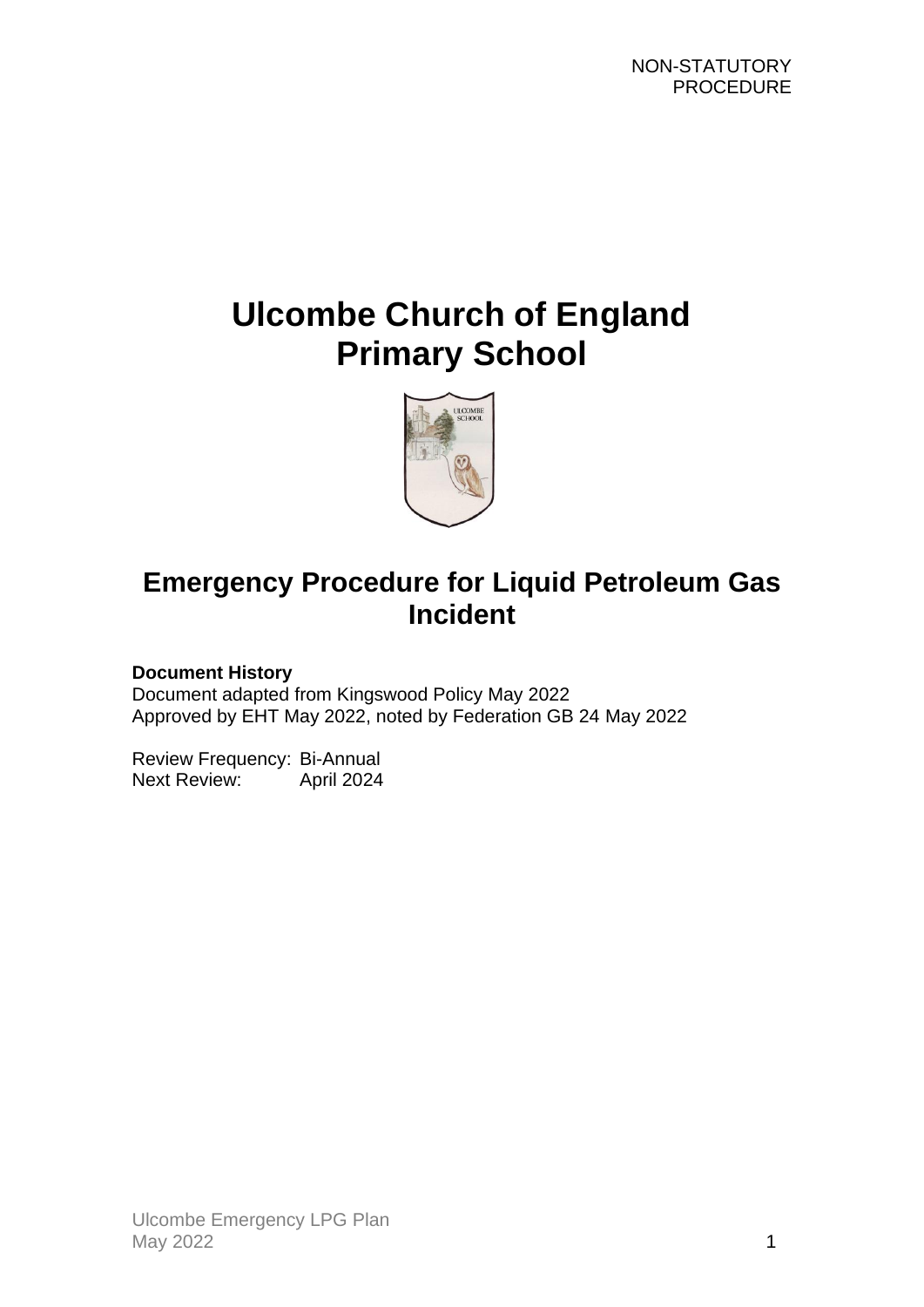# **Ulcombe Church of England Primary School**



## **Emergency Procedure for Liquid Petroleum Gas Incident**

#### **Document History**

Document adapted from Kingswood Policy May 2022 Approved by EHT May 2022, noted by Federation GB 24 May 2022

Review Frequency: Bi-Annual Next Review: April 2024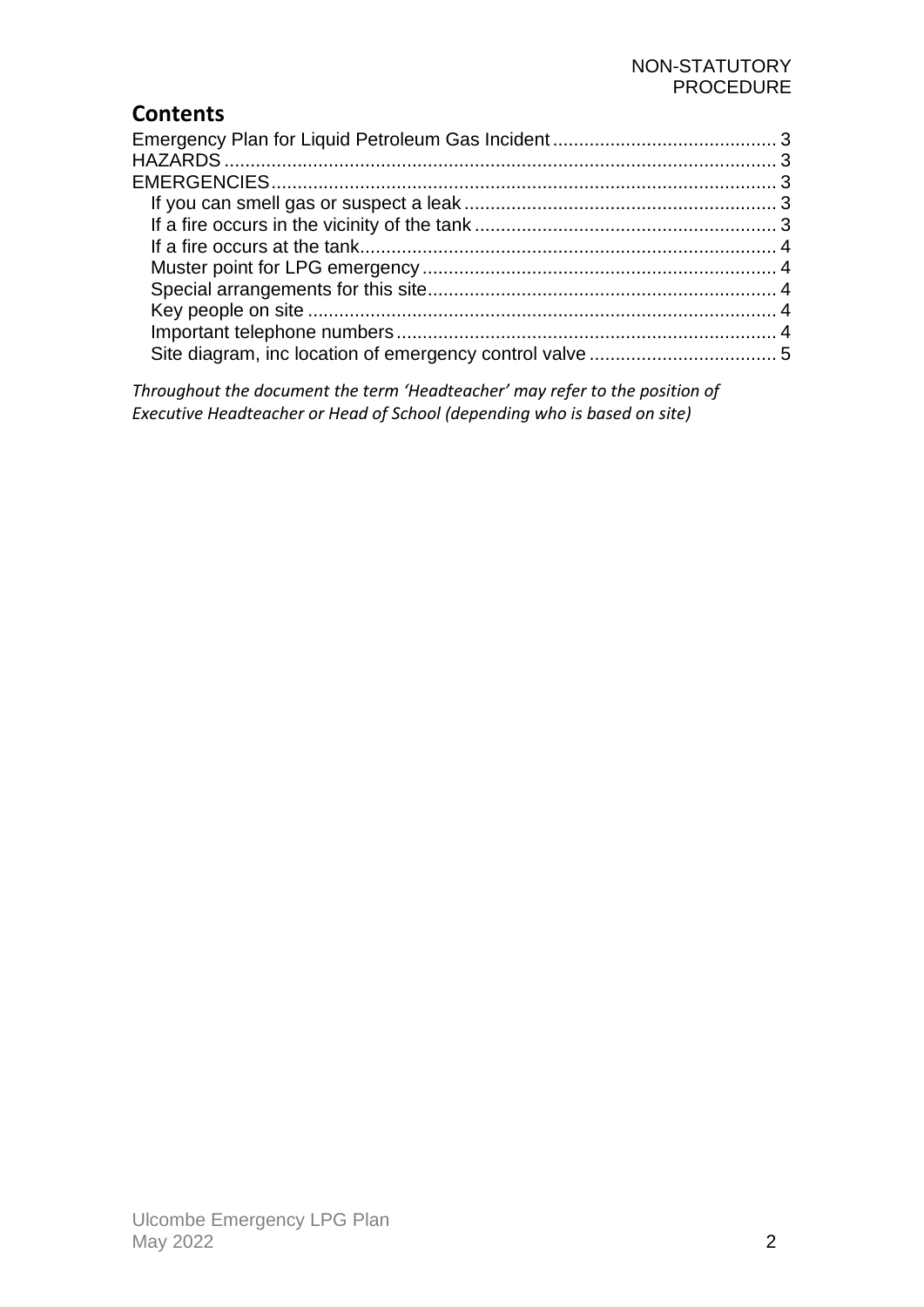#### NON-STATUTORY PROCEDURE

## **Contents**

*Throughout the document the term 'Headteacher' may refer to the position of Executive Headteacher or Head of School (depending who is based on site)*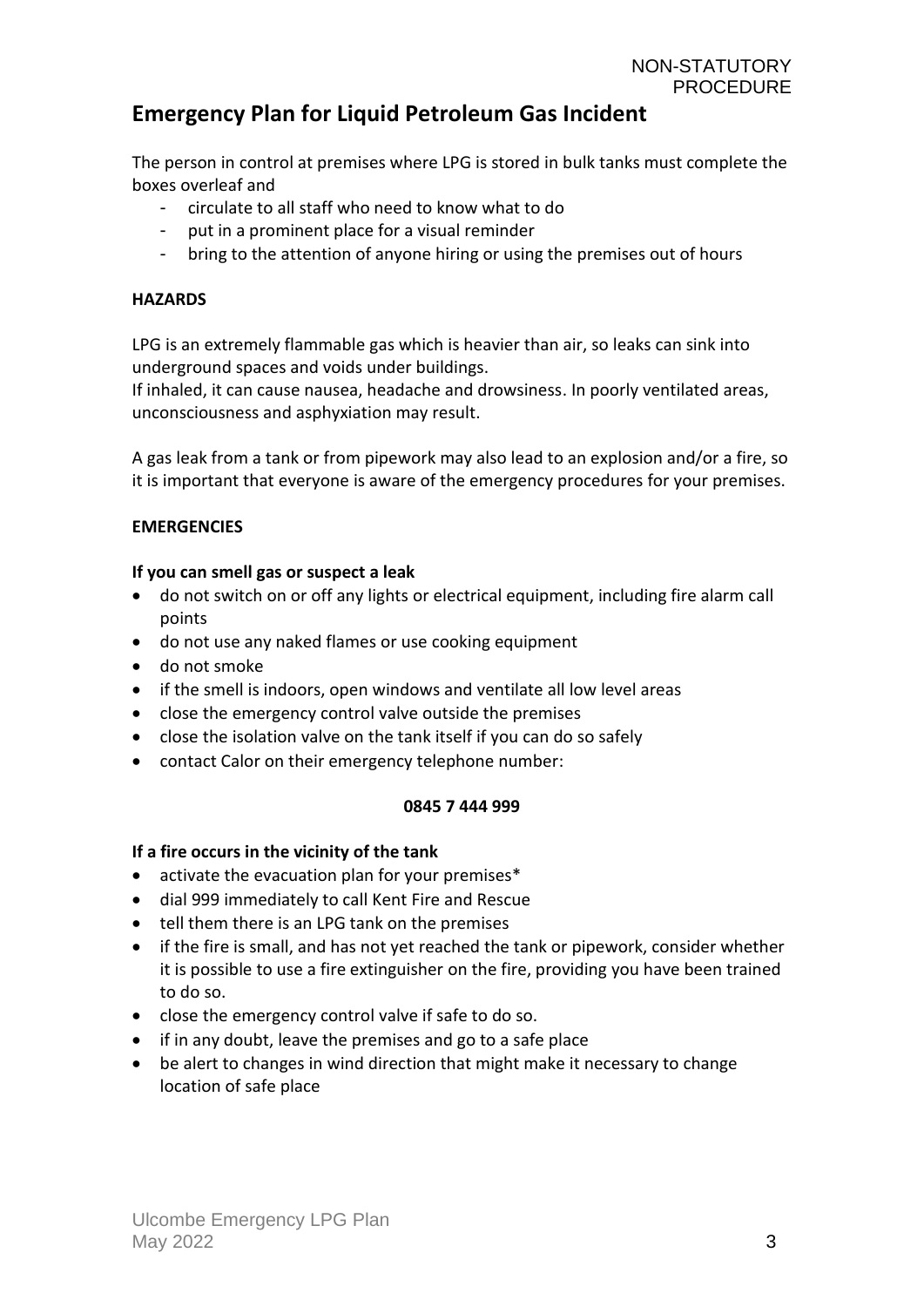### <span id="page-2-0"></span>**Emergency Plan for Liquid Petroleum Gas Incident**

The person in control at premises where LPG is stored in bulk tanks must complete the boxes overleaf and

- circulate to all staff who need to know what to do
- put in a prominent place for a visual reminder
- bring to the attention of anyone hiring or using the premises out of hours

#### <span id="page-2-1"></span>**HAZARDS**

LPG is an extremely flammable gas which is heavier than air, so leaks can sink into underground spaces and voids under buildings.

If inhaled, it can cause nausea, headache and drowsiness. In poorly ventilated areas, unconsciousness and asphyxiation may result.

A gas leak from a tank or from pipework may also lead to an explosion and/or a fire, so it is important that everyone is aware of the emergency procedures for your premises.

#### <span id="page-2-2"></span>**EMERGENCIES**

#### <span id="page-2-3"></span>**If you can smell gas or suspect a leak**

- do not switch on or off any lights or electrical equipment, including fire alarm call points
- do not use any naked flames or use cooking equipment
- do not smoke
- if the smell is indoors, open windows and ventilate all low level areas
- close the emergency control valve outside the premises
- close the isolation valve on the tank itself if you can do so safely
- contact Calor on their emergency telephone number:

#### **0845 7 444 999**

#### <span id="page-2-4"></span>**If a fire occurs in the vicinity of the tank**

- activate the evacuation plan for your premises\*
- dial 999 immediately to call Kent Fire and Rescue
- tell them there is an LPG tank on the premises
- if the fire is small, and has not yet reached the tank or pipework, consider whether it is possible to use a fire extinguisher on the fire, providing you have been trained to do so.
- close the emergency control valve if safe to do so.
- if in any doubt, leave the premises and go to a safe place
- be alert to changes in wind direction that might make it necessary to change location of safe place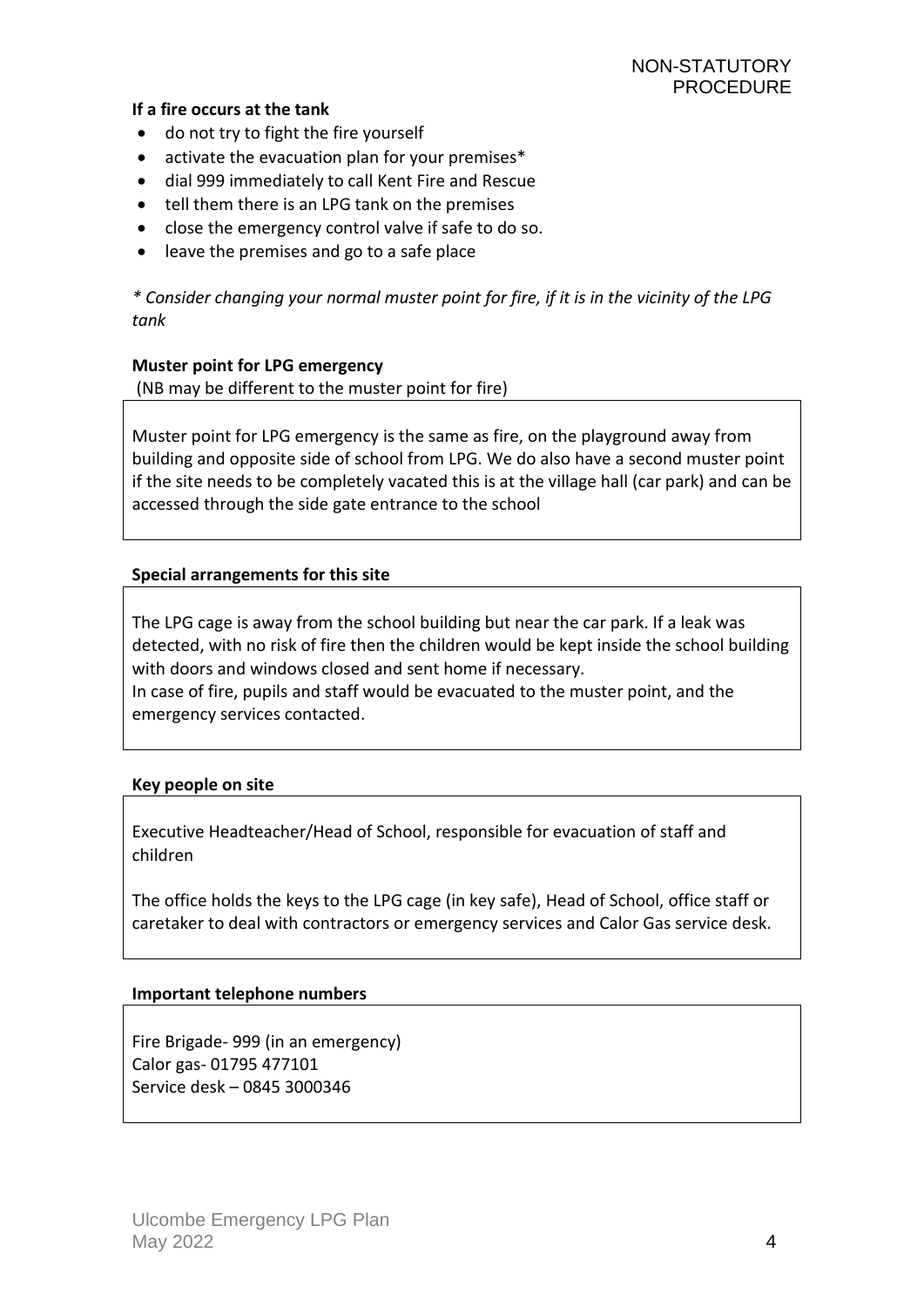#### <span id="page-3-0"></span>**If a fire occurs at the tank**

- do not try to fight the fire yourself
- activate the evacuation plan for your premises\*
- dial 999 immediately to call Kent Fire and Rescue
- tell them there is an LPG tank on the premises
- close the emergency control valve if safe to do so.
- leave the premises and go to a safe place

*\* Consider changing your normal muster point for fire, if it is in the vicinity of the LPG tank*

#### <span id="page-3-1"></span>**Muster point for LPG emergency**

(NB may be different to the muster point for fire)

Muster point for LPG emergency is the same as fire, on the playground away from building and opposite side of school from LPG. We do also have a second muster point if the site needs to be completely vacated this is at the village hall (car park) and can be accessed through the side gate entrance to the school

#### <span id="page-3-2"></span>**Special arrangements for this site**

The LPG cage is away from the school building but near the car park. If a leak was detected, with no risk of fire then the children would be kept inside the school building with doors and windows closed and sent home if necessary. In case of fire, pupils and staff would be evacuated to the muster point, and the

emergency services contacted.

#### <span id="page-3-3"></span>**Key people on site**

Executive Headteacher/Head of School, responsible for evacuation of staff and children

The office holds the keys to the LPG cage (in key safe), Head of School, office staff or caretaker to deal with contractors or emergency services and Calor Gas service desk.

#### <span id="page-3-4"></span>**Important telephone numbers**

Fire Brigade- 999 (in an emergency) Calor gas- 01795 477101 Service desk – 0845 3000346